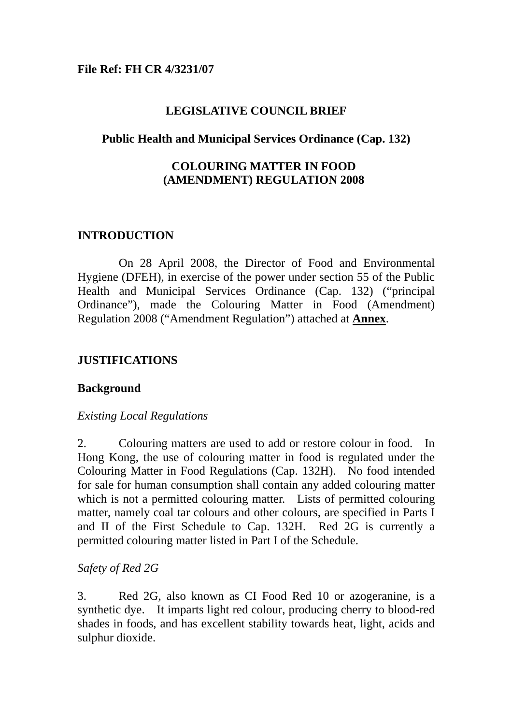### **File Ref: FH CR 4/3231/07**

## **LEGISLATIVE COUNCIL BRIEF**

### **Public Health and Municipal Services Ordinance (Cap. 132)**

## **COLOURING MATTER IN FOOD (AMENDMENT) REGULATION 2008**

### **INTRODUCTION**

On 28 April 2008, the Director of Food and Environmental Hygiene (DFEH), in exercise of the power under section 55 of the Public Health and Municipal Services Ordinance (Cap. 132) ("principal Ordinance"), made the Colouring Matter in Food (Amendment) Regulation 2008 ("Amendment Regulation") attached at **Annex**.

## **JUSTIFICATIONS**

### **Background**

### *Existing Local Regulations*

2. Colouring matters are used to add or restore colour in food. In Hong Kong, the use of colouring matter in food is regulated under the Colouring Matter in Food Regulations (Cap. 132H). No food intended for sale for human consumption shall contain any added colouring matter which is not a permitted colouring matter. Lists of permitted colouring matter, namely coal tar colours and other colours, are specified in Parts I and II of the First Schedule to Cap. 132H. Red 2G is currently a permitted colouring matter listed in Part I of the Schedule.

### *Safety of Red 2G*

3. Red 2G, also known as CI Food Red 10 or azogeranine, is a synthetic dye. It imparts light red colour, producing cherry to blood-red shades in foods, and has excellent stability towards heat, light, acids and sulphur dioxide.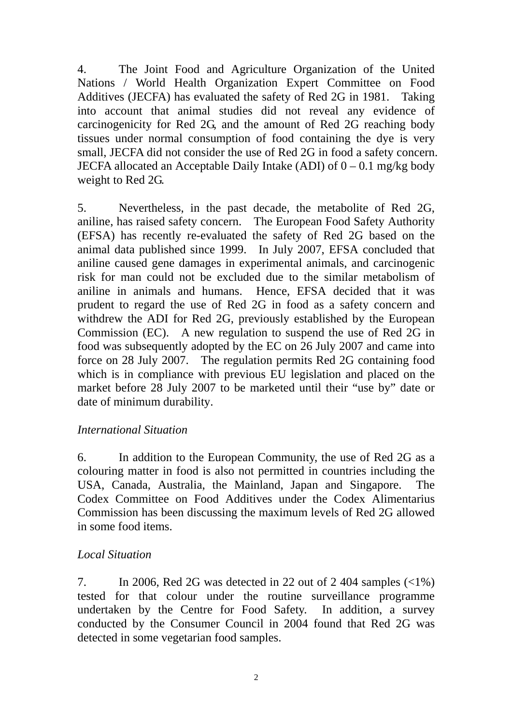4. The Joint Food and Agriculture Organization of the United Nations / World Health Organization Expert Committee on Food Additives (JECFA) has evaluated the safety of Red 2G in 1981. Taking into account that animal studies did not reveal any evidence of carcinogenicity for Red 2G, and the amount of Red 2G reaching body tissues under normal consumption of food containing the dye is very small, JECFA did not consider the use of Red 2G in food a safety concern. JECFA allocated an Acceptable Daily Intake (ADI) of  $0 - 0.1$  mg/kg body weight to Red 2G.

5. Nevertheless, in the past decade, the metabolite of Red 2G, aniline, has raised safety concern. The European Food Safety Authority (EFSA) has recently re-evaluated the safety of Red 2G based on the animal data published since 1999. In July 2007, EFSA concluded that aniline caused gene damages in experimental animals, and carcinogenic risk for man could not be excluded due to the similar metabolism of aniline in animals and humans. Hence, EFSA decided that it was prudent to regard the use of Red 2G in food as a safety concern and withdrew the ADI for Red 2G, previously established by the European Commission (EC). A new regulation to suspend the use of Red 2G in food was subsequently adopted by the EC on 26 July 2007 and came into force on 28 July 2007. The regulation permits Red 2G containing food which is in compliance with previous EU legislation and placed on the market before 28 July 2007 to be marketed until their "use by" date or date of minimum durability.

## *International Situation*

6. In addition to the European Community, the use of Red 2G as a colouring matter in food is also not permitted in countries including the USA, Canada, Australia, the Mainland, Japan and Singapore. The Codex Committee on Food Additives under the Codex Alimentarius Commission has been discussing the maximum levels of Red 2G allowed in some food items.

## *Local Situation*

7. In 2006, Red 2G was detected in 22 out of 2 404 samples  $\left(\langle 1\% \right)$ tested for that colour under the routine surveillance programme undertaken by the Centre for Food Safety. In addition, a survey conducted by the Consumer Council in 2004 found that Red 2G was detected in some vegetarian food samples.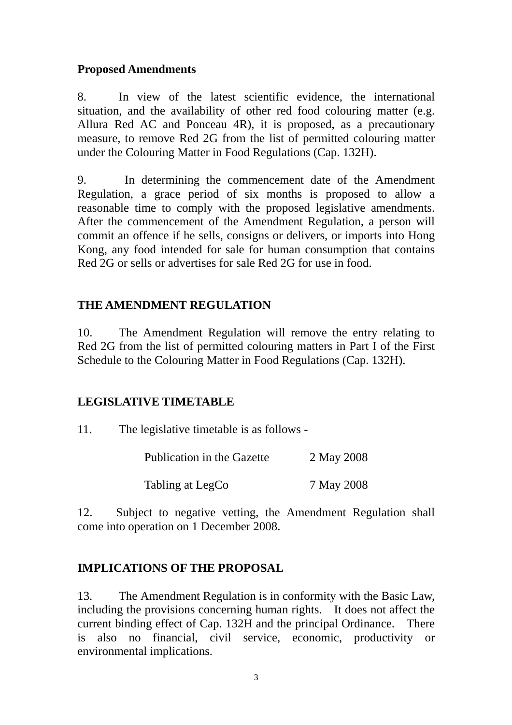# **Proposed Amendments**

8. In view of the latest scientific evidence, the international situation, and the availability of other red food colouring matter (e.g. Allura Red AC and Ponceau 4R), it is proposed, as a precautionary measure, to remove Red 2G from the list of permitted colouring matter under the Colouring Matter in Food Regulations (Cap. 132H).

9. In determining the commencement date of the Amendment Regulation, a grace period of six months is proposed to allow a reasonable time to comply with the proposed legislative amendments. After the commencement of the Amendment Regulation, a person will commit an offence if he sells, consigns or delivers, or imports into Hong Kong, any food intended for sale for human consumption that contains Red 2G or sells or advertises for sale Red 2G for use in food.

# **THE AMENDMENT REGULATION**

10. The Amendment Regulation will remove the entry relating to Red 2G from the list of permitted colouring matters in Part I of the First Schedule to the Colouring Matter in Food Regulations (Cap. 132H).

## **LEGISLATIVE TIMETABLE**

11. The legislative timetable is as follows -

| Publication in the Gazette | 2 May 2008 |
|----------------------------|------------|
| Tabling at LegCo           | 7 May 2008 |

12. Subject to negative vetting, the Amendment Regulation shall come into operation on 1 December 2008.

# **IMPLICATIONS OF THE PROPOSAL**

13. The Amendment Regulation is in conformity with the Basic Law, including the provisions concerning human rights. It does not affect the current binding effect of Cap. 132H and the principal Ordinance. There is also no financial, civil service, economic, productivity or environmental implications.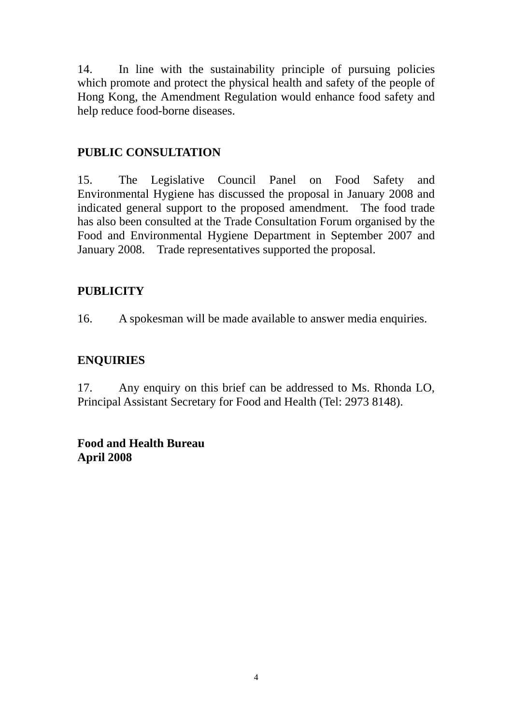14. In line with the sustainability principle of pursuing policies which promote and protect the physical health and safety of the people of Hong Kong, the Amendment Regulation would enhance food safety and help reduce food-borne diseases.

# **PUBLIC CONSULTATION**

15. The Legislative Council Panel on Food Safety and Environmental Hygiene has discussed the proposal in January 2008 and indicated general support to the proposed amendment. The food trade has also been consulted at the Trade Consultation Forum organised by the Food and Environmental Hygiene Department in September 2007 and January 2008. Trade representatives supported the proposal.

# **PUBLICITY**

16. A spokesman will be made available to answer media enquiries.

# **ENQUIRIES**

17. Any enquiry on this brief can be addressed to Ms. Rhonda LO, Principal Assistant Secretary for Food and Health (Tel: 2973 8148).

# **Food and Health Bureau April 2008**